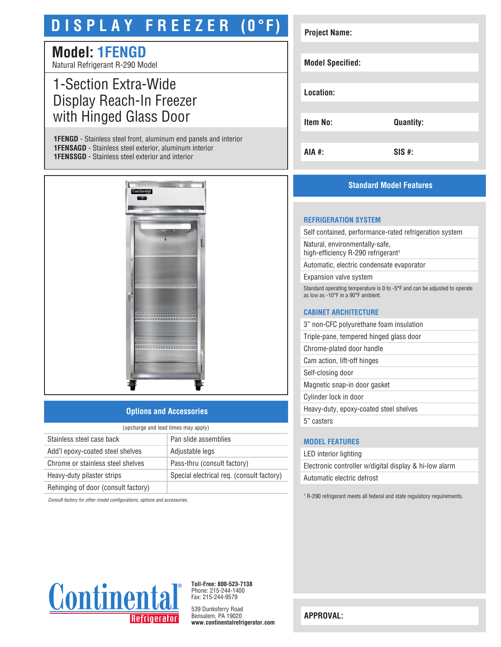# **D I S P L A Y F R E E Z E R (0°F)**

# **Model: 1FENGD**

Natural Refrigerant R-290 Model

# 1-Section Extra-Wide Display Reach-In Freezer with Hinged Glass Door

**1FENGD** - Stainless steel front, aluminum end panels and interior **1FENSAGD** - Stainless steel exterior, aluminum interior **1FENSSGD** - Stainless steel exterior and interior



## **Options and Accessories**

| (upcharge and lead times may apply) |                                           |  |
|-------------------------------------|-------------------------------------------|--|
| Stainless steel case back           | Pan slide assemblies                      |  |
| Add'l epoxy-coated steel shelves    | Adjustable legs                           |  |
| Chrome or stainless steel shelves   | Pass-thru (consult factory)               |  |
| Heavy-duty pilaster strips          | Special electrical req. (consult factory) |  |
| Rehinging of door (consult factory) |                                           |  |

*Consult factory for other model configurations, options and accessories.*

| <b>Project Name:</b>    |                  |
|-------------------------|------------------|
|                         |                  |
| <b>Model Specified:</b> |                  |
|                         |                  |
| Location:               |                  |
|                         |                  |
| <b>Item No:</b>         | <b>Quantity:</b> |
|                         |                  |
| <b>AIA #:</b>           | $SIS$ #:         |

# **Standard Model Features**

#### **REFRIGERATION SYSTEM**

Self contained, performance-rated refrigeration system

Natural, environmentally-safe, high-efficiency R-290 refrigerant<sup>1</sup>

Automatic, electric condensate evaporator

Expansion valve system

Standard operating temperature is 0 to -5°F and can be adjusted to operate as low as -10°F in a 90°F ambient.

#### **CABINET ARCHITECTURE**

3" non-CFC polyurethane foam insulation

Triple-pane, tempered hinged glass door

Chrome-plated door handle

Cam action, lift-off hinges

Self-closing door Magnetic snap-in door gasket

Cylinder lock in door

Heavy-duty, epoxy-coated steel shelves

5" casters

## **MODEL FEATURES**

LED interior lighting Electronic controller w/digital display & hi-low alarm Automatic electric defrost

<sup>1</sup> R-290 refrigerant meets all federal and state regulatory requirements.



**Toll-Free: 800-523-7138** Phone: 215-244-1400 Fax: 215-244-9579

539 Dunksferry Road Bensalem, PA 19020 **www.continentalrefrigerator.com** 

**APPROVAL:**